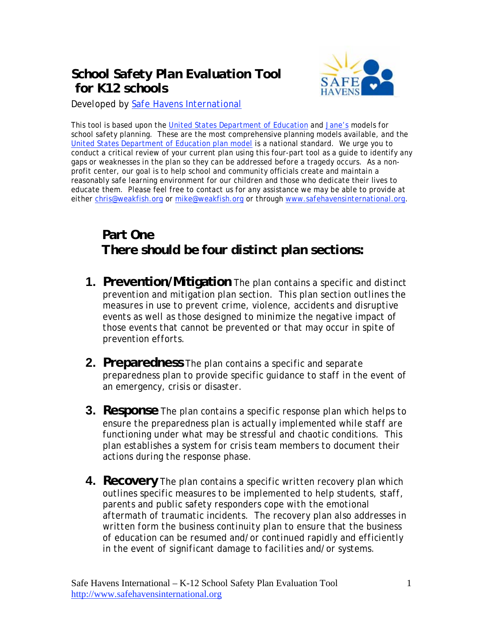## *School Safety Plan Evaluation Tool for K12 schools*



*Developed by Safe Havens International*

This tool is based upon the United States Department of Education and Jane's models for school safety planning. These are the most comprehensive planning models available, and the United States Department of Education plan model is a national standard. We urge you to conduct a critical review of your current plan using this four-part tool as a guide to identify any gaps or weaknesses in the plan so they can be addressed *before* a tragedy occurs. As a nonprofit center, our goal is to help school and community officials create and maintain a reasonably safe learning environment for our children and those who dedicate their lives to educate them. Please feel free to contact us for any assistance we may be able to provide at either chris@weakfish.org or mike@weakfish.org or through www.safehavensinternational.org.

# **Part One** *There should be four distinct plan sections:*

- **1. Prevention/Mitigation** *The plan contains a specific and distinct prevention and mitigation plan section. This plan section outlines the measures in use to prevent crime, violence, accidents and disruptive events as well as those designed to minimize the negative impact of those events that cannot be prevented or that may occur in spite of prevention efforts.*
- **2. Preparedness** *The plan contains a specific and separate preparedness plan to provide specific guidance to staff in the event of an emergency, crisis or disaster.*
- **3. Response** *The plan contains a specific response plan which helps to ensure the preparedness plan is actually implemented while staff are functioning under what may be stressful and chaotic conditions. This plan establishes a system for crisis team members to document their actions during the response phase.*
- **4. Recovery** *The plan contains a specific written recovery plan which outlines specific measures to be implemented to help students, staff, parents and public safety responders cope with the emotional aftermath of traumatic incidents. The recovery plan also addresses in written form the business continuity plan to ensure that the business of education can be resumed and/or continued rapidly and efficiently in the event of significant damage to facilities and/or systems.*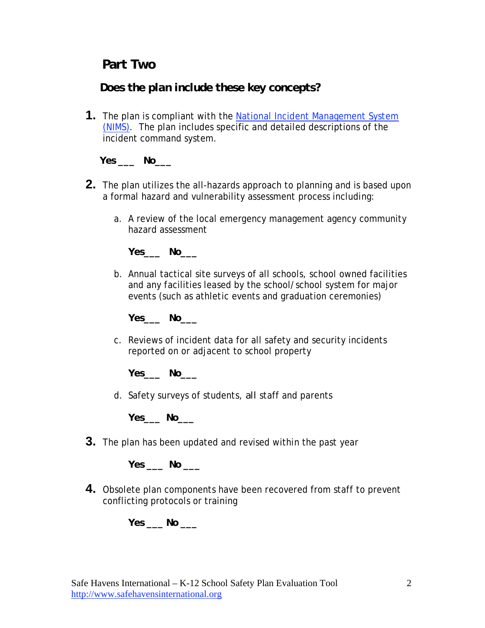### **Part Two**

#### *Does the plan include these key concepts?*

**1.** The plan is compliant with the National Incident Management System (NIMS). The plan includes specific and detailed descriptions of the incident command system.

**Yes \_\_\_ No\_\_\_** 

- **2.** The plan utilizes the all-hazards approach to planning and is based upon a formal hazard and vulnerability assessment process including:
	- a. A review of the local emergency management agency community hazard assessment

**Yes\_\_\_ No\_\_\_** 

b. Annual tactical site surveys of all schools, school owned facilities and any facilities leased by the school/school system for major events (such as athletic events and graduation ceremonies)

**Yes\_\_\_ No\_\_\_** 

c. Reviews of incident data for all safety and security incidents reported on or adjacent to school property

**Yes\_\_\_ No\_\_\_** 

d. Safety surveys of students, *all* staff and parents

**Yes\_\_\_ No\_\_\_** 

**3.** The plan has been updated and revised within the past year

**Yes \_\_\_ No \_\_\_** 

**4.** Obsolete plan components have been recovered from staff to prevent conflicting protocols or training

**Yes \_\_\_ No \_\_\_**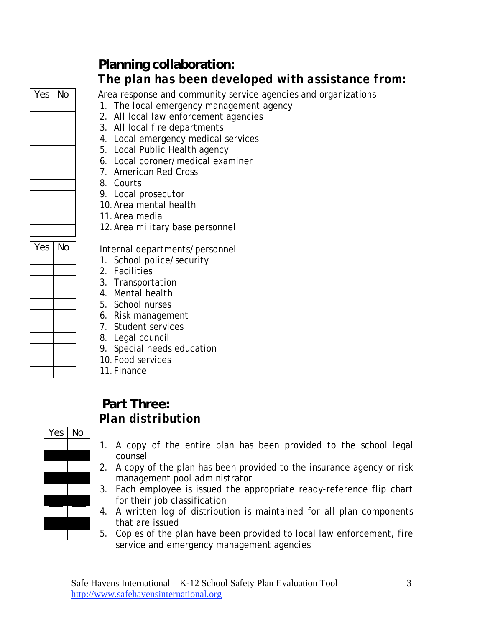

# *Yes No*

# **Planning collaboration:**  *The plan has been developed with assistance from:*

Area response and community service agencies and organizations

- 1. The local emergency management agency
- 2. All local law enforcement agencies
- 3. All local fire departments
- 4. Local emergency medical services
- 5. Local Public Health agency
- 6. Local coroner/medical examiner
- 7. American Red Cross
- 8. Courts
- 9. Local prosecutor
- 10.Area mental health
- 11.Area media
- 12.Area military base personnel

 $\overline{N}$  Internal departments/personnel

- 1. School police/security
- 2. Facilities
- 3. Transportation
- 4. Mental health
- 5. School nurses
- 6. Risk management
- 7. Student services
- 8. Legal council
- 9. Special needs education
- 10.Food services
- 11.Finance

## **Part Three:** *Plan distribution*



- 1. A copy of the entire plan has been provided to the school legal counsel
- 2. A copy of the plan has been provided to the insurance agency or risk management pool administrator
- 3. Each employee is issued the appropriate ready-reference flip chart for their job classification
- 4. A written log of distribution is maintained for all plan components that are issued
- 5. Copies of the plan have been provided to local law enforcement, fire service and emergency management agencies